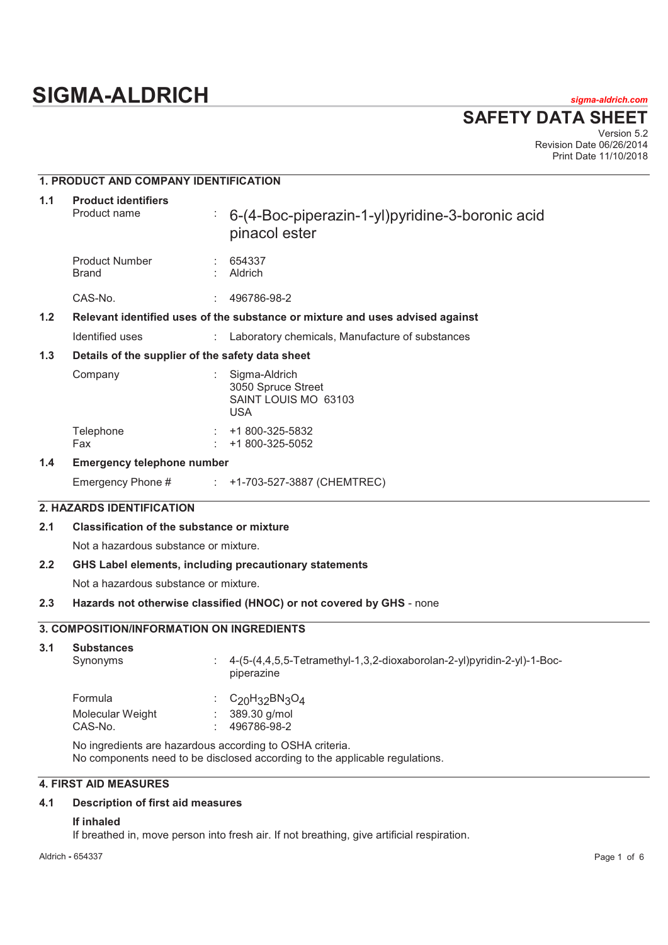# **SIGMA-ALDRICH** *sigma-aldrich.com*

**SAFETY DATA SHEET**

Version 5.2 Revision Date 06/26/2014 Print Date 11/10/2018

# **1. PRODUCT AND COMPANY IDENTIFICATION**

| 1.1 | <b>Product identifiers</b><br>Product name       | ÷. | 6-(4-Boc-piperazin-1-yl)pyridine-3-boronic acid<br>pinacol ester              |
|-----|--------------------------------------------------|----|-------------------------------------------------------------------------------|
|     | <b>Product Number</b><br><b>Brand</b>            |    | 654337<br>Aldrich                                                             |
|     | CAS-No.                                          | ÷. | 496786-98-2                                                                   |
| 1.2 |                                                  |    | Relevant identified uses of the substance or mixture and uses advised against |
|     | Identified uses                                  |    | Laboratory chemicals, Manufacture of substances                               |
| 1.3 | Details of the supplier of the safety data sheet |    |                                                                               |
|     | Company                                          |    | Sigma-Aldrich<br>3050 Spruce Street<br>SAINT LOUIS MO 63103<br><b>USA</b>     |
|     | Telephone<br>Fax                                 |    | $\div$ +1 800-325-5832<br>+1 800-325-5052                                     |
| 1.4 | <b>Emergency telephone number</b>                |    |                                                                               |
|     | Emergency Phone #                                |    | $\div$ +1-703-527-3887 (CHEMTREC)                                             |
|     | <b>2. HAZARDS IDENTIFICATION</b>                 |    |                                                                               |

# **2.1 Classification of the substance or mixture**

Not a hazardous substance or mixture.

#### **2.2 GHS Label elements, including precautionary statements**

Not a hazardous substance or mixture.

#### **2.3 Hazards not otherwise classified (HNOC) or not covered by GHS** - none

# **3. COMPOSITION/INFORMATION ON INGREDIENTS**

| 3.1 | <b>Substances</b><br>Synonyms | 4-(5-(4,4,5,5-Tetramethyl-1,3,2-dioxaborolan-2-yl)pyridin-2-yl)-1-Boc-<br>piperazine |
|-----|-------------------------------|--------------------------------------------------------------------------------------|
|     | Formula                       | : $C_{20}H_{32}BN_{3}O_{4}$                                                          |
|     | Molecular Weight<br>CAS-No.   | 389.30 g/mol<br>496786-98-2                                                          |

No ingredients are hazardous according to OSHA criteria. No components need to be disclosed according to the applicable regulations.

# **4. FIRST AID MEASURES**

# **4.1 Description of first aid measures**

#### **If inhaled**

If breathed in, move person into fresh air. If not breathing, give artificial respiration.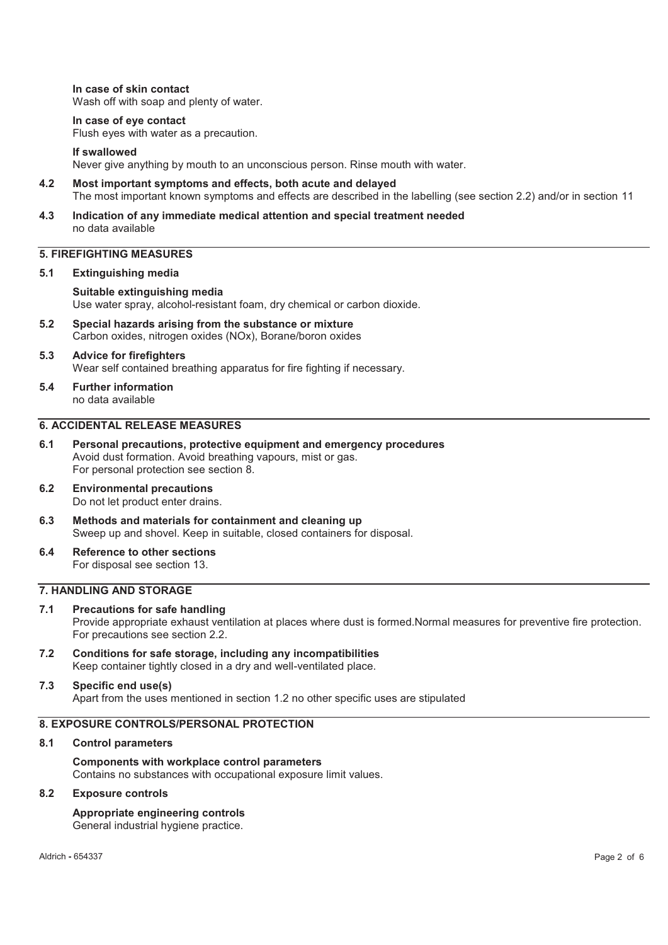**In case of skin contact**  Wash off with soap and plenty of water.

#### **In case of eye contact**

Flush eyes with water as a precaution.

#### **If swallowed**

Never give anything by mouth to an unconscious person. Rinse mouth with water.

- **4.2 Most important symptoms and effects, both acute and delayed**  The most important known symptoms and effects are described in the labelling (see section 2.2) and/or in section 11
- **4.3 Indication of any immediate medical attention and special treatment needed**  no data available

# **5. FIREFIGHTING MEASURES**

#### **5.1 Extinguishing media**

**Suitable extinguishing media**  Use water spray, alcohol-resistant foam, dry chemical or carbon dioxide.

- **5.2 Special hazards arising from the substance or mixture**  Carbon oxides, nitrogen oxides (NOx), Borane/boron oxides
- **5.3 Advice for firefighters**  Wear self contained breathing apparatus for fire fighting if necessary.
- **5.4 Further information**  no data available

# **6. ACCIDENTAL RELEASE MEASURES**

- **6.1 Personal precautions, protective equipment and emergency procedures**  Avoid dust formation. Avoid breathing vapours, mist or gas. For personal protection see section 8.
- **6.2 Environmental precautions**  Do not let product enter drains.
- **6.3 Methods and materials for containment and cleaning up**  Sweep up and shovel. Keep in suitable, closed containers for disposal.
- **6.4 Reference to other sections**  For disposal see section 13.

### **7. HANDLING AND STORAGE**

#### **7.1 Precautions for safe handling**  Provide appropriate exhaust ventilation at places where dust is formed.Normal measures for preventive fire protection. For precautions see section 2.2.

**7.2 Conditions for safe storage, including any incompatibilities**  Keep container tightly closed in a dry and well-ventilated place.

#### **7.3 Specific end use(s)**  Apart from the uses mentioned in section 1.2 no other specific uses are stipulated

### **8. EXPOSURE CONTROLS/PERSONAL PROTECTION**

#### **8.1 Control parameters**

**Components with workplace control parameters**  Contains no substances with occupational exposure limit values.

#### **8.2 Exposure controls**

# **Appropriate engineering controls**

General industrial hygiene practice.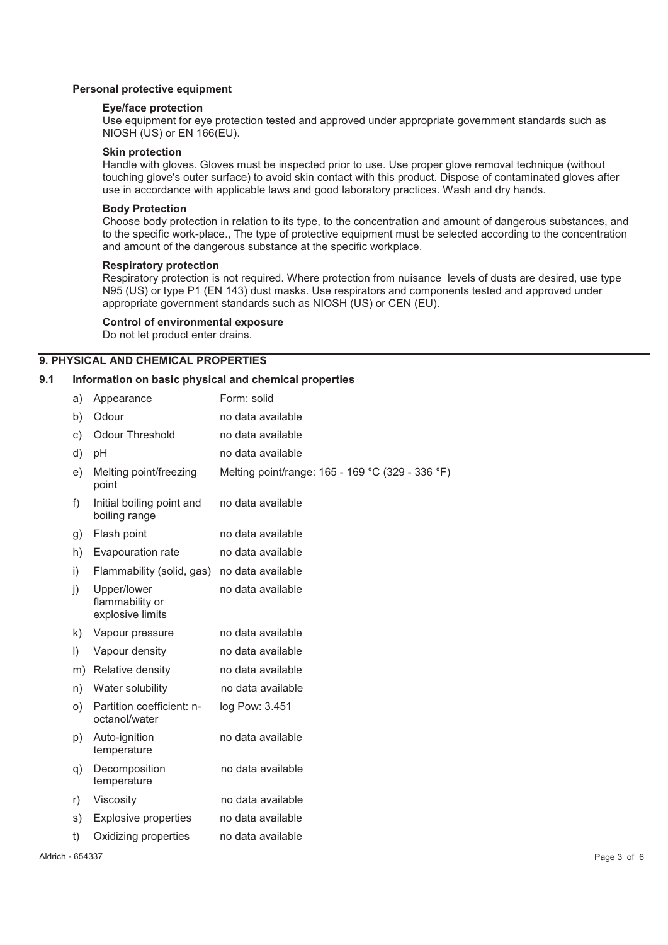#### **Personal protective equipment**

#### **Eye/face protection**

Use equipment for eye protection tested and approved under appropriate government standards such as NIOSH (US) or EN 166(EU).

#### **Skin protection**

Handle with gloves. Gloves must be inspected prior to use. Use proper glove removal technique (without touching glove's outer surface) to avoid skin contact with this product. Dispose of contaminated gloves after use in accordance with applicable laws and good laboratory practices. Wash and dry hands.

#### **Body Protection**

Choose body protection in relation to its type, to the concentration and amount of dangerous substances, and to the specific work-place., The type of protective equipment must be selected according to the concentration and amount of the dangerous substance at the specific workplace.

#### **Respiratory protection**

Respiratory protection is not required. Where protection from nuisance levels of dusts are desired, use type N95 (US) or type P1 (EN 143) dust masks. Use respirators and components tested and approved under appropriate government standards such as NIOSH (US) or CEN (EU).

#### **Control of environmental exposure**

Do not let product enter drains.

### **9. PHYSICAL AND CHEMICAL PROPERTIES**

#### **9.1 Information on basic physical and chemical properties**

| a)      | Appearance                                         | Form: solid                                      |
|---------|----------------------------------------------------|--------------------------------------------------|
| b)      | Odour                                              | no data available                                |
| c)      | <b>Odour Threshold</b>                             | no data available                                |
| d)      | рH                                                 | no data available                                |
| e)      | Melting point/freezing<br>point                    | Melting point/range: 165 - 169 °C (329 - 336 °F) |
| f)      | Initial boiling point and<br>boiling range         | no data available                                |
| g)      | Flash point                                        | no data available                                |
| h)      | Evapouration rate                                  | no data available                                |
| i)      | Flammability (solid, gas)                          | no data available                                |
| j)      | Upper/lower<br>flammability or<br>explosive limits | no data available                                |
| k)      | Vapour pressure                                    | no data available                                |
| $\vert$ | Vapour density                                     | no data available                                |
| m)      | Relative density                                   | no data available                                |
| n)      | Water solubility                                   | no data available                                |
| O)      | Partition coefficient: n-<br>octanol/water         | log Pow: 3.451                                   |
| p)      | Auto-ignition<br>temperature                       | no data available                                |
| q)      | Decomposition<br>temperature                       | no data available                                |
| r)      | Viscosity                                          | no data available                                |
| s)      | <b>Explosive properties</b>                        | no data available                                |
| t)      | Oxidizing properties                               | no data available                                |
|         |                                                    |                                                  |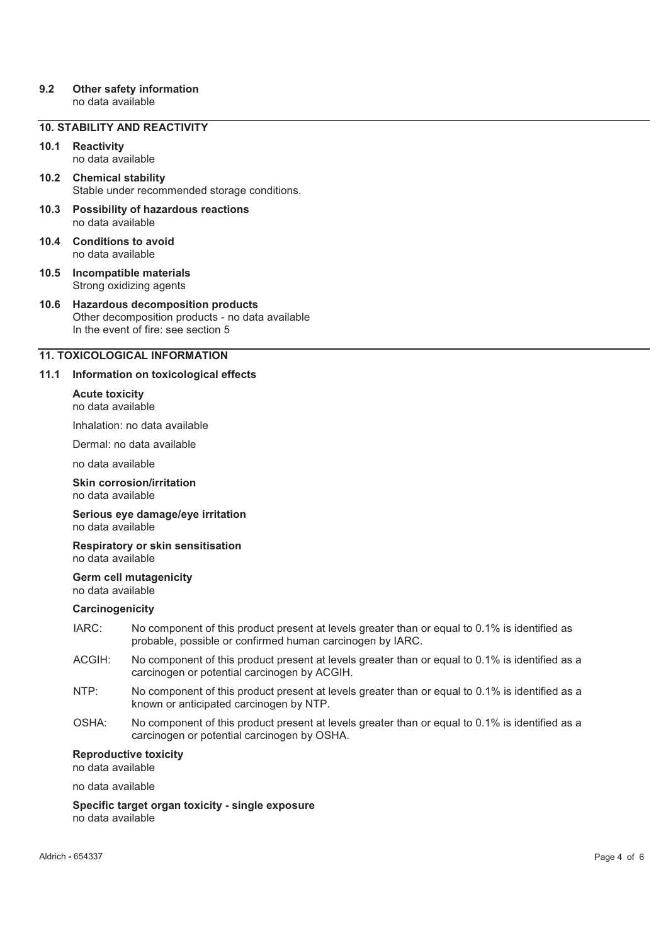# **9.2 Other safety information**

no data available

# **10. STABILITY AND REACTIVITY**

# **10.1 Reactivity**

no data available

- **10.2 Chemical stability**  Stable under recommended storage conditions.
- **10.3 Possibility of hazardous reactions**  no data available
- **10.4 Conditions to avoid**  no data available
- **10.5 Incompatible materials**  Strong oxidizing agents
- **10.6 Hazardous decomposition products**  Other decomposition products - no data available In the event of fire: see section 5

# **11. TOXICOLOGICAL INFORMATION**

# **11.1 Information on toxicological effects**

**Acute toxicity**  no data available

Inhalation: no data available

Dermal: no data available

no data available

#### **Skin corrosion/irritation**  no data available

### **Serious eye damage/eye irritation**  no data available

#### **Respiratory or skin sensitisation**  no data available

**Germ cell mutagenicity**  no data available

# **Carcinogenicity**

- IARC: No component of this product present at levels greater than or equal to 0.1% is identified as probable, possible or confirmed human carcinogen by IARC.
- ACGIH: No component of this product present at levels greater than or equal to 0.1% is identified as a carcinogen or potential carcinogen by ACGIH.
- NTP: No component of this product present at levels greater than or equal to 0.1% is identified as a known or anticipated carcinogen by NTP.
- OSHA: No component of this product present at levels greater than or equal to 0.1% is identified as a carcinogen or potential carcinogen by OSHA.

# **Reproductive toxicity**

no data available

no data available

**Specific target organ toxicity - single exposure**  no data available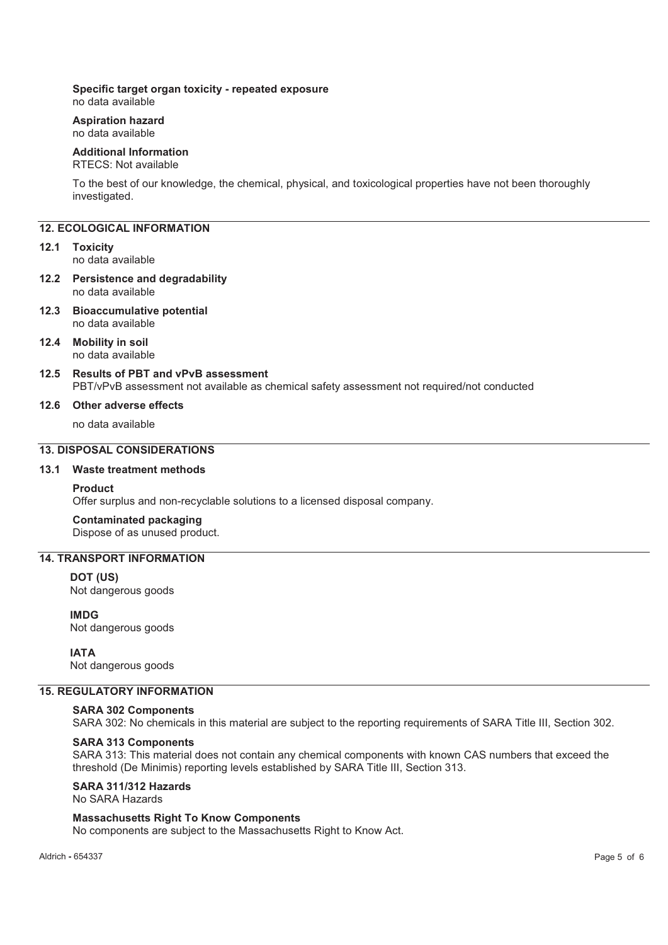# **Specific target organ toxicity - repeated exposure**

no data available

#### **Aspiration hazard**  no data available

# **Additional Information**

### RTECS: Not available

To the best of our knowledge, the chemical, physical, and toxicological properties have not been thoroughly investigated.

### **12. ECOLOGICAL INFORMATION**

#### **12.1 Toxicity**

no data available

#### **12.2 Persistence and degradability**  no data available

**12.3 Bioaccumulative potential**  no data available

#### **12.4 Mobility in soil**  no data available

# **12.5 Results of PBT and vPvB assessment**

PBT/vPvB assessment not available as chemical safety assessment not required/not conducted

#### **12.6 Other adverse effects**

no data available

# **13. DISPOSAL CONSIDERATIONS**

### **13.1 Waste treatment methods**

#### **Product**

Offer surplus and non-recyclable solutions to a licensed disposal company.

### **Contaminated packaging**

Dispose of as unused product.

# **14. TRANSPORT INFORMATION**

# **DOT (US)**

Not dangerous goods

**IMDG** Not dangerous goods

#### **IATA**

Not dangerous goods

### **15. REGULATORY INFORMATION**

# **SARA 302 Components**

SARA 302: No chemicals in this material are subject to the reporting requirements of SARA Title III, Section 302.

### **SARA 313 Components**

SARA 313: This material does not contain any chemical components with known CAS numbers that exceed the threshold (De Minimis) reporting levels established by SARA Title III, Section 313.

# **SARA 311/312 Hazards**

No SARA Hazards

#### **Massachusetts Right To Know Components**

No components are subject to the Massachusetts Right to Know Act.